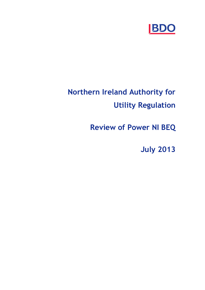

# **Northern Ireland Authority for Utility Regulation**

**Review of Power NI BEQ**

**July 2013**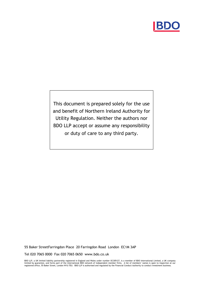

This document is prepared solely for the use and benefit of Northern Ireland Authority for Utility Regulation. Neither the authors nor BDO LLP accept or assume any responsibility or duty of care to any third party.

55 Baker StreetFarringdon Place 20 Farringdon Road London EC1M 3AP

Tel 020 7065 0000 Fax 020 7065 0650 www.bdo.co.uk

BDO LLP, a UK limited liability partnership registered in England and Wales under number OC305127, is a member of BDO International Limited, a UK company<br>limited by guarantee, and forms part of the international BDO networ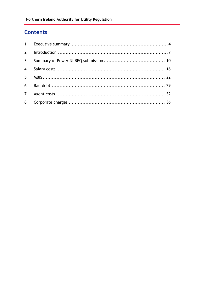# **Contents**

| $2^{\circ}$    |  |
|----------------|--|
| $\mathbf{3}$   |  |
|                |  |
|                |  |
|                |  |
| 7 <sup>7</sup> |  |
|                |  |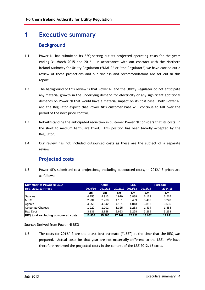# **1 Executive summary**

# **Background**

- 1.1 Power NI has submitted its BEQ setting out its projected operating costs for the years ending 31 March 2015 and 2016. In accordance with our contract with the Northern Ireland Authority for Utility Regulation ("NIAUR" or "the Regulator") we have carried out a review of those projections and our findings and recommendations are set out in this report.
- 1.2 The background of this review is that Power NI and the Utility Regulator do not anticipate any material growth in the underlying demand for electricity or any significant additional demands on Power NI that would have a material impact on its cost base. Both Power NI and the Regulator expect that Power NI's customer base will continue to fall over the period of the next price control.
- 1.3 Notwithstanding the anticipated reduction in customer Power NI considers that its costs, in the short to medium term, are fixed. This position has been broadly accepted by the Regulator.
- 1.4 Our review has not included outsourced costs as these are the subject of a separate review.

# **Projected costs**

1.5 Power NIís submitted cost projections, excluding outsourced costs, in 2012/13 prices are as follows:

| <b>Summary of Power NI BEQ</b>              |         | <b>Actual</b> |        | <b>LBE</b>      |         | <b>Forecast</b> |
|---------------------------------------------|---------|---------------|--------|-----------------|---------|-----------------|
| Real 2012/13 Prices                         | 2009/10 | 2010/11       |        | 2011/12 2012/13 | 2013/14 | 2014/15         |
|                                             | £m      | £m            | £m     | £m              | £m      | £m              |
| Salaries                                    | 4.256   | 4.913         | 4.929  | 5.888           | 6.163   | 6.215           |
| <b>MBIS</b>                                 | 2.934   | 2.700         | 4.181  | 3.409           | 3.403   | 3.243           |
| Agents                                      | 4.256   | 4.142         | 4.181  | 4.013           | 3.818   | 3.686           |
| Corporate Charges                           | 1.229   | 1.202         | 1.325  | 1.283           | 1.434   | 1.484           |
| <b>Bad Debt</b>                             | 3.131   | 2.828         | 2.653  | 3.228           | 3.265   | 3.263           |
| <b>BEQ</b> total excluding outsourced costs | 15,806  | 15.785        | 17.269 | 17.822          | 18.082  | 17.891          |

Source: Derived from Power NI BEQ

1.6 The costs for 2012/13 are the latest best estimate ("LBE") at the time that the BEQ was prepared. Actual costs for that year are not materially different to the LBE. We have therefore reviewed the projected costs in the context of the LBE 2012/13 costs.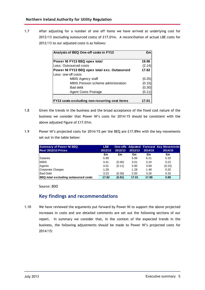1.7 After adjusting for a number of one off items we have arrived at underlying cost for 2012/13 (excluding outsourced costs) of £17.01m. A reconciliation of actual LBE costs for 2012/13 to our adjusted costs is as follows:

| Analysis of BEQ One-off costs in FY13        | £m     |
|----------------------------------------------|--------|
| Power NI FY13 BEQ opex total                 | 19.96  |
| Less: Outsourced costs                       | (2.14) |
| Power NI FY13 BEQ opex total exc. Outsourced | 17.82  |
| Less: one-off costs                          |        |
| MBIS Agency staff                            | (0.25) |
| MBIS Pension scheme administration           | (0.15) |
| Bad debt                                     | (0.30) |
| Agent Costs Postage                          | (0.11) |

- 1.8 Given the trends in the business and the broad acceptance of the fixed cost nature of the business we consider that Power NI's costs for 2014/15 should be consistent with the above adjusted figure of £17.01m.
- 1.9 Power NIís projected costs for 2014/15 per the BEQ are £17.89m with the key movements set out in the table below:

| <b>Summary of Power NI BEQ</b>              | <b>LBE</b> |         |         |         | <b>One-offs Adjusted Forecast Key Movements</b> |
|---------------------------------------------|------------|---------|---------|---------|-------------------------------------------------|
| <b>Real 2012/13 Prices</b>                  | 2012/13    | 2012/13 | 2012/13 | 2014/15 | 2014/15                                         |
|                                             | £m         | £m      | £m      | £m      | £m                                              |
| <b>Salaries</b>                             | 5.89       |         | 5.89    | 6.21    | 0.33                                            |
| <b>MBIS</b>                                 | 3.41       | (0.40)  | 3.01    | 3.24    | 0.23                                            |
| Agents                                      | 4.01       | (0.11)  | 3.90    | 3.69    | (0.22)                                          |
| Corporate Charges                           | 1.28       |         | 1.28    | 1.48    | 0.20                                            |
| <b>Bad Debt</b>                             | 3.23       | (0.30)  | 2.93    | 3.26    | 0.33                                            |
| <b>BEQ</b> total excluding outsourced costs | 17.82      | (0.81)  | 17.01   | 17.89   | 0.88                                            |

Source: BDO

# **Key findings and recommendations**

1.10 We have reviewed the arguments put forward by Power NI to support the above projected increases in costs and are detailed comments are set out the following sections of our report. In summary we consider that, in the context of the expected trends in the business, the following adjustments should be made to Power NI's projected costs for 2014/15: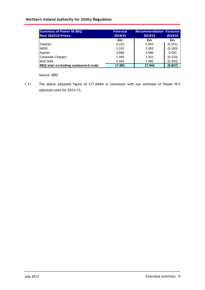### **Northern Ireland Authority for Utility Regulation**

| <b>Summary of Power NI BEQ</b><br><b>Real 2012/13 Prices</b> | <b>Forecast</b><br>2014/15 | <b>Recommendation Variance</b><br>2014/15 | 2014/15 |  |
|--------------------------------------------------------------|----------------------------|-------------------------------------------|---------|--|
|                                                              | £m                         | £m                                        | £m      |  |
| <b>Salaries</b>                                              | 6.215                      | 5.964                                     | (0.251) |  |
| <b>MBIS</b>                                                  | 3.243                      | 3.083                                     | (0.160) |  |
| Agents                                                       | 3.686                      | 3.686                                     | 0.000   |  |
| Corporate Charges                                            | 1.484                      | 1.351                                     | (0.133) |  |
| <b>Bad Debt</b>                                              | 3.263                      | 2.960                                     | (0.303) |  |
| BEQ total excluding outsourced costs                         | 17.891                     | 17.044                                    | (0.847) |  |

Source: BDO

1.11 The above adjusted figure of £17.044m is consistent with our estimate of Power NI's adjusted costs for 2012/13.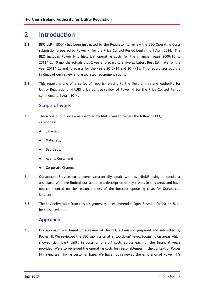# **2 Introduction**

- 2.1 BDO LLP ("BDO") has been instructed by the Regulator to review the BEQ Operating Costs submission prepared by Power NI for the Price Control Period beginning 1 April 2014. The BEQ includes Power NI's historical operating costs for the financial years 2009/10 to 2011/12, 10 months actuals plus 2 years forecast to arrive at Latest Best Estimate for the year 2011/12, and forecasts for the years 2013/14 and 2014/15. This report sets out the findings of our review and associated recommendations.
- 2.2 This report is one of a series of reports relating to the Northern Ireland Authority for Utility Regulations (NIAUR) price control review of Power NI for the Price Control Period commencing 1 April 2014.

# **Scope of work**

- 2.3 The scope of our review as specified by NIAUR was to review the following BEQ categories:
	- Salaries;
	- Materials;
	- Bad Debt;
	- Agents Costs; and
	- Corporate Charges.
- 2.4 Outsourced Service costs were substantially dealt with by NIAUR using a specialist associate. We have limited our scope to a description of key trends in this area, and have not commented on the reasonableness of the forecast operating costs for Outsourced Services.
- 2.5 The key deliverable from this assignment is a recommended Opex Baseline for 2014/15, to be consulted upon.

### **Approach**

2.6 Our approach was based on a review of the BEQ submission prepared and submitted by Power NI. We reviewed the BEQ submission at a 'top down' level, focussing on areas which showed significant shifts in costs or one-off costs across each of the financial years provided. We also reviewed the operating costs for reasonableness in the context of Power NI having a shrinking customer base. We have not reviewed the efficiency of Power NIís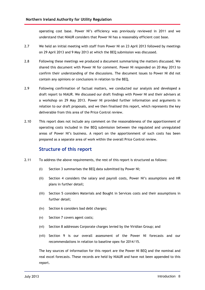operating cost base. Power NI's efficiency was previously reviewed in 2011 and we understand that NIAUR considers that Power NI has a reasonably efficient cost base.

- 2.7 We held an initial meeting with staff from Power NI on 23 April 2013 followed by meetings on 29 April 2013 and 9 May 2013 at which the BEQ submission was discussed.
- 2.8 Following these meetings we produced a document summarising the matters discussed. We shared this document with Power NI for comment. Power NI responded on 20 May 2013 to confirm their understanding of the discussions. The document issues to Power NI did not contain any opinions or conclusions in relation to the BEQ.
- 2.9 Following confirmation of factual matters, we conducted our analysis and developed a draft report to NIAUR. We discussed our draft findings with Power NI and their advisers at a workshop on 29 May 2013. Power NI provided further information and arguments in relation to our draft proposals, and we then finalised this report, which represents the key deliverable from this area of the Price Control review.
- 2.10 This report does not include any comment on the reasonableness of the apportionment of operating costs included in the BEQ submission between the regulated and unregulated areas of Power NI's business. A report on the apportionment of such costs has been prepared as a separate area of work within the overall Price Control review.

# **Structure of this report**

- 2.11 To address the above requirements, the rest of this report is structured as follows:
	- (i) Section 3 summarises the BEQ data submitted by Power NI;
	- (ii) Section 4 considers the salary and payroll costs, Power NIís assumptions and HR plans in further detail;
	- (iii) Section 5 considers Materials and Bought in Services costs and their assumptions in further detail;
	- (iv) Section 6 considers bad debt charges;
	- (v) Section 7 covers agent costs;
	- (vi) Section 8 addresses Corporate charges levied by the Viridian Group; and
	- (vii) Section 9 is our overall assessment of the Power NI forecasts and our recommendations in relation to baseline opex for 2014/15.

The key sources of information for this report are the Power NI BEQ and the nominal and real excel forecasts. These records are held by NIAUR and have not been appended to this report.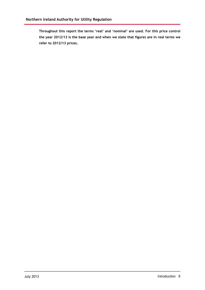**Throughout this report the terms ërealí and ënominalí are used. For this price control the year 2012/13 is the base year and when we state that figures are in realterms we refer to 2012/13 prices.**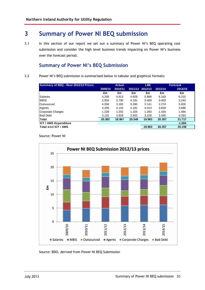# **3 Summary of Power NI BEQ submission**

3.1 In this section of our report we set out a summary of Power NI's BEQ operating cost submission and consider the high level business trends impacting on Power NI's business over the forecast period.

# **Summary of Power NI's BEQ Submission**

3.2 Power NI's BEQ submission is summarised below in tabular and graphical formats:

| Summary of BEQ - Real 2012/13 Prices |         | <b>Actual</b> |        |                 |         | <b>Forecast</b> |  |
|--------------------------------------|---------|---------------|--------|-----------------|---------|-----------------|--|
|                                      | 2009/10 | 2010/11       |        | 2011/12 2012/13 | 2013/14 | 2014/15         |  |
|                                      | £m      | £m            | £m     | £m              | £m      | £m              |  |
| <b>Salaries</b>                      | 4.256   | 4.913         | 4.929  | 5.888           | 6.163   | 6.215           |  |
| <b>MBIS</b>                          | 2.934   | 2.700         | 4.181  | 3.409           | 3.403   | 3.243           |  |
| Outsourced                           | 4.556   | 3.182         | 3.280  | 2.141           | 2.274   | 3.826           |  |
| Agents                               | 4.256   | 4.142         | 4.181  | 4.013           | 3.818   | 3.686           |  |
| Corporate Charges                    | 1.229   | 1.202         | 1.325  | 1.283           | 1.434   | 1.484           |  |
| <b>Bad Debt</b>                      | 3.131   | 2.828         | 2.653  | 3.228           | 3.265   | 3.263           |  |
| Total                                | 20.362  | 18.967        | 20.549 | 19.963          | 20.357  | 21.717          |  |
| <b>ICT / AMS Expenditure</b>         |         |               |        |                 |         | $-1.559$        |  |
| Total excl ICT / AMS                 |         |               |        | 19.963          | 20.357  | 20.158          |  |





Source: BDO, derived from Power NI BEQ Submission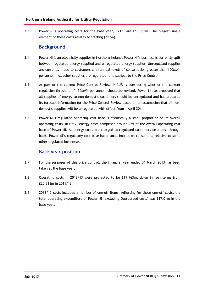3.3 Power NIís operating costs for the base year, FY13, are £19.963m. The biggest single element of these costs relates to staffing (29.5%).

# **Background**

- 3.4 Power NI is an electricity supplier in Northern Ireland. Power NI's business is currently split between regulated energy supplied and unregulated energy supplies. Unregulated supplies are currently made to customers with annual levels of consumption greater than 150MWh per annum. All other supplies are regulated, and subject to the Price Control.
- 3.5 As part of the current Price Control Review, NIAUR is considering whether the current regulation threshold of 150MWh per annum should be revised. Power NI has proposed that all supplies of energy to non-domestic customers should be unregulated and has prepared its forecast information for the Price Control Review based on an assumption that all non domestic supplies will be unregulated with effect from 1 April 2014.
- 3.6 Power NI's regulated operating cost base is historically a small proportion of its overall operating costs. In FY12, energy costs comprised around 95% of the overall operating cost base of Power NI. As energy costs are charged to regulated customers on a pass-through basis, Power NI's regulatory cost base has a small impact on consumers, relative to some other regulated businesses.

### **Base year position**

- 3.7 For the purposes of this price control, the financial year ended 31 March 2013 has been taken as the base year.
- 3.8 Operating costs in 2012/13 were projected to be £19.963m, down in real terms from £20.318m in 2011/12.
- 3.9 2012/13 costs included a number of one-off items. Adjusting for these one-off costs, the total operating expenditure of Power NI (excluding Outsourced costs) was £17.01m in the base year: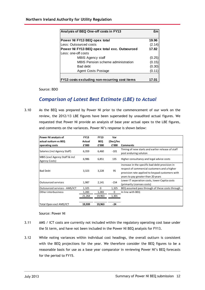| Analysis of BEQ One-off costs in FY13        | £m     |
|----------------------------------------------|--------|
| Power NI FY13 BEQ opex total                 | 19.96  |
| Less: Outsourced costs                       | (2.14) |
| Power NI FY13 BEQ opex total exc. Outsourced | 17.82  |
| Less: one-off costs                          |        |
| MBIS Agency staff                            | (0.25) |
| MBIS Pension scheme administration           | (0.15) |
| <b>Bad debt</b>                              | (0.30) |
| Agent Costs Postage                          | (0.11  |

Source: BDO

# *Comparison of Latest Best Estimate (LBE) to Actual*

3.10 As the BEQ was prepared by Power NI prior to the commencement of our work on the review, the 2012/13 LBE figures have been superseded by unaudited actual figures. We requested that Power NI provide an analysis of base year actual opex to the LBE figures, and comments on the variances. Power NI's response is shown below: **PEREFERENT THE SET EXECUTE SET AND MODE SET AND FIRENCE CONDUCT AND AN ABOVE THE SET AND THE SET AND THE POWER NET AND FOWER NET AND FOWER NET AND FOWER NET AND FOWER NET AND FOWER NET AND FOUR FOR FINISH THE POWER NET AN outerally requested that Power NI provide an analysis of base year<br>
and comments on the variances. Power NI's response is sh<br>
<b>Power NI analysis of** FY13 FY13 Var<br> **Actual BEO** (Dec)/Inc  $i<sub>c</sub>$ 

| Power NI analysis of                            | <b>FY13</b> | <b>FY13</b> | Var       |                                                                                                                                                                                         |
|-------------------------------------------------|-------------|-------------|-----------|-----------------------------------------------------------------------------------------------------------------------------------------------------------------------------------------|
| actual outturn vs BEQ                           | Actual      | <b>BEQ</b>  | (Dec)/Inc |                                                                                                                                                                                         |
| operating costs                                 | £'000       | £'000       | £'000     | <b>Comments</b>                                                                                                                                                                         |
| Salaries (incl Agency Staff)                    | 6,359       | 6,460       | $-101$    | Timing of new starts and earlier release of staff<br>post enduring soluton                                                                                                              |
| MBIS (excl Agency Staff & incl<br>Agency Costs) | 6,986       | 6,851       | 135       | Higher consultancy and legal advice costs                                                                                                                                               |
| <b>Bad Debt</b>                                 | 3,323       | 3,228       | 95        | increase in the specific bad debt provision in<br>respect of commercial customers and a higher<br>provision rate applied to keypad customers with<br>years to pay greater than 20 years |
| <b>Outsourced services</b>                      | 1,987       | 2,141       | -154      | Lower IT seperation costs, lower Capita costs<br>(primarily Licenses costs)                                                                                                             |
| Outsourced services - AMS/ICT                   | 1,325       | $\Omega$    | 1,325     | BEQ assumed pass through of these costs through                                                                                                                                         |
| Other interbusiness                             | 1,283       | 1,283       | $\Omega$  | In line with BEQ                                                                                                                                                                        |
|                                                 | 21,264      | 19,963      | 1,301     |                                                                                                                                                                                         |
| Total Opex excl AMS/ICT                         | 19,939      | 19,963      | $-24$     |                                                                                                                                                                                         |

Source: Power NI

- 3.11 AMS / ICT costs are currently not included within the regulatory operating cost base under the St term, and have not been included in the Power NI BEQ analysis for FY13.
- 3.12 While noting variances within individual cost headings, the overall outturn is consistent with the BEQ projections for the year. We therefore consider the BEQ figures to be a reasonable basis for use as a base year comparator in reviewing Power NI's BEQ forecasts for the period to FY15.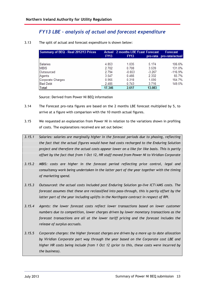# *FY13 LBE ñ analysis of actual and forecast expenditure*

| Summary of BEQ - Real 2012/13 Prices | <b>FY13</b> | <b>Actual</b> 2 months LBE fcast Forecast<br><b>FY13</b> |          | <b>Forecast</b><br>pro-rata pro-rata/actual |
|--------------------------------------|-------------|----------------------------------------------------------|----------|---------------------------------------------|
| <b>Salaries</b>                      | 4.853       | 1.035                                                    | 5.174    | 106.6%                                      |
| <b>MBIS</b>                          | 2.702       | 0.708                                                    | 3.539    | 131.0%                                      |
| Outsourced                           | 2.794       | $-0.653$                                                 | $-3.267$ | $-116.9%$                                   |
| Agents                               | 3.547       | 0.466                                                    | 2.332    | 65.7%                                       |
| Corporate Charges                    | 0.965       | 0.318                                                    | 1.590    | 164.7%                                      |
| <b>Bad Debt</b>                      | 2.485       | 0.743                                                    | 3.716    | 149.5%                                      |
| Total                                | 17.346      | 2.617                                                    | 13.083   |                                             |

3.13 The split of actual and forecast expenditure is shown below:

Source: Derived from Power NI BEQ information

- 3.14 The Forecast pro-rata figures are based on the 2 months LBE forecast multiplied by 5, to arrive at a figure with comparison with the 10 month actual figures.
- 3.15 We requested an explanation from Power NI in relation to the variations shown in profiling of costs. The explanations received are set out below:
- *3.15.1 Salaries: salaries are marginally higher in the forecast periods due to phasing, reflecting the fact that the actual figures would have had costs recharged to the Enduring Solution project and therefore the actual costs appear lower on a like for like basis. This is partly offset by the fact that from 1 Oct 12, HR staff moved from Power NI to Viridian Corporate*
- *3.15.2 MBIS: costs are higher in the forecast period reflecting price control, legal and consultancy work being undertaken in the latter part of the year together with the timing of marketing spend.*
- *3.15.3 Outsourced: the actual costs included post Enduring Solution go-live ICT/AMS costs. The forecast assumes that these are reclassified into pass-through, this is partly offset by the latter part of the year including uplifts in the Northgate contract in respect of RPI.*
- *3.15.4 Agents: the lower forecast costs reflect lower transactions based on lower customer numbers due to competition, lower charges driven by lower monetary transactions as the forecast transactions are all at the lower tariff pricing and the forecast includes the release of surplus accruals.*
- *3.15.5 Corporate charges: the higher forecast charges are driven by a more up to date allocation by Viridian Corporate part way through the year based on the Corporate cost LBE and higher HR costs being include from 1 Oct 12 (prior to this, these costs were incurred by the business).*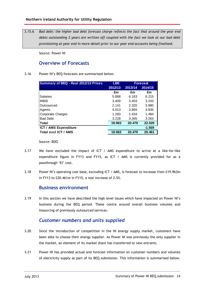3.15.6 *Bad debt: the higher bad debt forecast charge reflects the fact that around the year end debts outstanding 2 years are written off coupled with the fact we look at our bad debt provisioning at year end in more detail prior to our year end accounts being finalised.*

Source: Power NI

# **Overview of Forecasts**

#### 3.16 Power NI's BEQ forecasts are summarised below:

| Summary of BEQ - Real 2012/13 Prices | <b>LBE</b> |         | <b>Forecast</b> |
|--------------------------------------|------------|---------|-----------------|
|                                      | 2012/13    | 2013/14 | 2014/15         |
|                                      | £m         | £m      | £m              |
| <b>Salaries</b>                      | 5.888      | 6.163   | 6.215           |
| <b>MBIS</b>                          | 3.409      | 3.403   | 3.243           |
| Outsourced                           | 2.141      | 2.320   | 3.980           |
| Agents                               | 4.013      | 3.894   | 3.835           |
| <b>Corporate Charges</b>             | 1.283      | 1.434   | 1.484           |
| <b>Bad Debt</b>                      | 3.228      | 3.265   | 3.263           |
| Total                                | 19.963     | 20.479  | 22.020          |
| <b>ICT / AMS Expenditure</b>         |            |         | $-1.559$        |
| Total excl ICT / AMS                 | 19.963     | 20.479  | 20.461          |

Source: BDO

- 3.17 We have excluded the impact of ICT / AMS expenditure to arrive at a like-for-like expenditure figure in FY13 and FY15, as ICT / AMS is currently provided for as a passthrough 'Et' cost.
- 3.18 Power NIís operating cost base, excluding ICT / AMS, is forecast to increase from £19.963m in FY13 to £20.461m in FY15, a real increase of 2.5%.

### **Business environment**

3.19 In this section we have described the high level issues which have impacted on Power NI's business during the BEQ period. These centre around overall business volumes and insourcing of previously outsourced services.

# *Customer numbers and units supplied*

- 3.20 Since the introduction of competition in the NI energy supply market, customers have been able to choose their energy supplier. As Power NI was previously the only supplier in the market, an element of its market share has transferred to new entrants.
- 3.21 Power NI has provided actual and forecast information on customer numbers and volumes of electricity supply as part of its BEQ submission. This information is summarised below.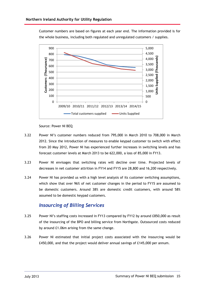Customer numbers are based on figures at each year end. The information provided is for the whole business, including both regulated and unregulated customers / supplies.



Source: Power NI BEQ

- 3.22 Power NIís customer numbers reduced from 795,000 in March 2010 to 708,000 in March 2012. Since the introduction of measures to enable keypad customer to switch with effect from 20 May 2012, Power NI has experienced further increases in switching levels and has forecast customer levels at March 2013 to be 622,000, a loss of 85,000 in FY13.
- 3.23 Power NI envisages that switching rates will decline over time. Projected levels of decreases in net customer attrition in FY14 and FY15 are 28,800 and 16,200 respectively.
- 3.24 Power NI has provided us with a high level analysis of its customer switching assumptions, which show that over 96% of net customer changes in the period to FY15 are assumed to be domestic customers. Around 38% are domestic credit customers, with around 58% assumed to be domestic keypad customers.

### *Insourcing of Billing Services*

- 3.25 Power NI's staffing costs increased in FY13 compared by FY12 by around £850,000 as result of the insourcing of the BPO and billing service from Northgate. Outsourced costs reduced by around £1.06m arising from the same change.
- 3.26 Power NI estimated that initial project costs associated with the insourcing would be £450,000, and that the project would deliver annual savings of £145,000 per annum.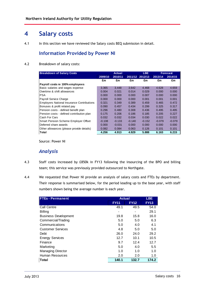# **4 Salary costs**

4.1 In this section we have reviewed the Salary costs BEQ submission in detail.

# **Information Provided by Power NI**

#### 4.2 Breakdown of salary costs:

| <b>Breakdown of Salary Costs</b>                  |          | Actual   |          | LBE.            | <b>Forecast</b> |          |
|---------------------------------------------------|----------|----------|----------|-----------------|-----------------|----------|
|                                                   | 2009/10  | 2010/11  |          | 2011/12 2012/13 | 2013/14         | 2014/15  |
|                                                   | £m       | £m       | £m       | £m              | £m              | £m       |
| Payroll costs re 100% employees                   |          |          |          |                 |                 |          |
| Basic salaries and wages expense                  | 3.365    | 3.448    | 3.642    | 4.468           | 4.628           | 4.659    |
| Overtime & shift allowances                       | 0.004    | 0.021    | 0.014    | 0.029           | 0.000           | 0.000    |
| <b>IPSA</b>                                       | 0.000    | 0.000    | 0.000    | 0.007           | 0.000           | 0.000    |
| Payroll Service Charge                            | 0.000    | 0.000    | 0.000    | 0.001           | 0.001           | 0.001    |
| <b>Employers National Insurance Contributions</b> | 0.321    | 0.349    | 0.389    | 0.459           | 0.465           | 0.472    |
| Bonuses & profit related pay                      | 0.090    | 0.457    | 0.434    | 0.299           | 0.325           | 0.317    |
| Pension costs - defined benefit plan              | 0.296    | 0.480    | 0.308    | 0.436           | 0.495           | 0.495    |
| Pension costs - defined contribution plan         | 0.175    | 0.206    | 0.186    | 0.185           | 0.205           | 0.227    |
| Cash For Cars                                     | 0.032    | 0.032    | 0.034    | 0.030           | 0.022           | 0.022    |
| <b>Smart Pension Scheme Employer Offset</b>       | $-0.108$ | $-0.133$ | $-0.140$ | $-0.152$        | $-0.079$        | $-0.079$ |
| Deferred share awards                             | 0.000    | $-0.031$ | 0.000    | 0.000           | 0.000           | 0.000    |
| Other allowances (please provide details)         | 0.082    | 0.084    | 0.063    | 0.126           | 0.101           | 0.101    |
| Total                                             | 4.256    | 4.913    | 4.929    | 5.888           | 6.163           | 6.215    |

Source: Power NI

## *Analysis*

- 4.3 Staff costs increased by £850k in FY13 following the insourcing of the BPO and billing team; this service was previously provided outsourced to Northgate.
- 4.4 We requested that Power NI provide an analysis of salary costs and FTEs by department. Their response is summarised below, for the period leading up to the base year, with staff numbers shown being the average number is each year.

| <b>FTEs - Permanent</b>     | <b>Actual</b> |             | LBE.        |
|-----------------------------|---------------|-------------|-------------|
|                             | <b>FY11</b>   | <b>FY12</b> | <b>FY13</b> |
| Call Centre                 | 49.1          | 49.5        | 54.0        |
| <b>Billing</b>              |               |             | 29.1        |
| <b>Business Development</b> | 19.8          | 15.8        | 16.0        |
| Commercial/Trading          | 5.0           | 5.0         | 6.3         |
| Communications              | 5.0           | 4.0         | 4.1         |
| <b>Customer Services</b>    | 4.8           | 5.0         | 5.0         |
| Debt                        | 26.0          | 24.0        | 29.2        |
| <b>Energy Services</b>      | 12.7          | 10.1        | 10.5        |
| Finance                     | 9.7           | 12.4        | 12.7        |
| Marketing                   | 5.0           | 4.0         | 5.5         |
| <b>Managing Director</b>    | 1.0           | 1.0         | 1.0         |
| Human Resources             | 2.0           | 2.0         | 1.0         |
| Total                       | 140.1         | 132.7       | 174.2       |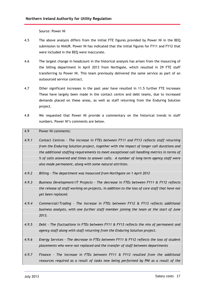Source: Power NI

- 4.5 The above analysis differs from the initial FTE figures provided by Power NI in the BEQ submission to NIAUR. Power NI has indicated that the initial figures for FY11 and FY12 that were included in the BEQ were inaccurate.
- 4.6 The largest change in headcount in the historical analysis has arisen from the insourcing of the billing department in April 2013 from Northgate, which resulted in 29 FTE staff transferring to Power NI. This team previously delivered the same service as part of an outsourced service contract.
- 4.7 Other significant increases in the past year have resulted in 11.5 further FTE increases These have largely been made in the contact centre and debt teams, due to increased demands placed on these areas, as well as staff returning from the Enduring Solution project.
- 4.8 We requested that Power NI provide a commentary on the historical trends in staff numbers. Power NI's comments are below.

#### 4.9 Power NI comments:

- *4.9.1 Contact Centres - The increase in FTEs between FY11 and FY13 reflects staff returning from the Enduring Solution project, together with the impact of longer call durations and the additional staffing requirements to meet exceptional call handling metrics in terms of % of calls answered and times to answer calls. A number of long-term agency staff were also made permanent, along with some natural attrition.*
- *4.9.2 Billing - The department was insourced from Northgate on 1 April 2012*
- *4.9.3 Business Development/IT Projects - The decrease in FTEs between FY11 & FY12 reflects the release of staff working on projects, in addition to the loss of core staff that have not yet been replaced.*
- *4.9.4 Commercial/Trading -The increase in FTEs between FY12 & FY13 reflects additional business analysts, with one further staff member joining the team at the start of June 2013.*
- *4.9.5 Debt - The fluctuations in FTEs between FY11 & FY13 reflects the mix of permanent and agency staff along with staff returning from the Enduring Solution project.*
- *4.9.6 Energy Services - The decrease in FTEs between FY11 & FY12 reflects the loss of student placements who were not replaced and the transfer of staff between departments*
- *4.9.7 Finance - The increase in FTEs between FY11 & FY13 resulted from theadditional resources required as a result of tasks now being performed by PNI as a result of the*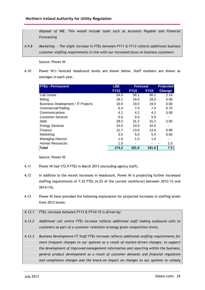*disposal of NIE. This would include tasks such as Accounts Payable and Financial Forecasting*

*4.9.8 Marketing - The slight increase in FTEs between FY11 & FY13 reflects additional business customer staffing requirements in line with our increased focus on business customers*

Source: Power NI

4.10 Power NIís forecast headcount levels are shown below. Staff numbers are shown as averages in each year.

| <b>FTEs - Permanent</b>            | <b>LBE</b>  |             | <b>Projected</b><br><b>Forecast</b> |               |
|------------------------------------|-------------|-------------|-------------------------------------|---------------|
|                                    | <b>FY13</b> | <b>FY14</b> | <b>FY15</b>                         | <b>Change</b> |
| Call Centre                        | 54.0        | 56.1        | 56.1                                | 2.14          |
| <b>Billing</b>                     | 29.1        | 29.0        | $29.0 -$                            | 0.08          |
| Business Development / IT Projects | 16.0        | 19.0        | 19.0                                | 3.00          |
| Commercial/Trading                 | 6.3         | 7.0         | 7.0                                 | 0.75          |
| Communications                     | 4.1         | 4.2         | 4.2                                 | 0.08          |
| <b>Customer Services</b>           | 5.0         | 5.0         | 5.0                                 |               |
| Debt                               | 29.2        | 31.2        | 31.2                                | 2.00          |
| <b>Energy Services</b>             | 10.5        | 10.5        | 10.5                                |               |
| Finance                            | 12.7        | 13.6        | 13.6                                | 0.90          |
| Marketing                          | 5.5         | 5.0         | $5.0 -$                             | 0.50          |
| <b>Managing Director</b>           | 1.0         | 1.0         | 1.0                                 |               |
| Human Resources                    | 1.0         |             |                                     | 1.0           |
| <b>Total</b>                       | 174.2       | 181.6       | 181.6                               | 7.3           |

Source: Power NI

- 4.11 Power NI had 172.9 FTEs in March 2013 (excluding agency staff).
- 4.12 In addition to the recent increases in headcount, Power NI is projecting further increased staffing requirements of 7.32 FTEs (4.2% of the current workforce) between 2012/13 and 2014/15).
- 4.13 Power NI have provided the following explanation for projected increases in staffing levels from 2013 levels:

#### *4.13.1 FTEs: Increase between FY13 & FY14/15 is driven by:*

- *4.13.2 Additional call centre FTEs increase reflects additional staff making outbound calls to customers as part of a customer retention strategy given competition levels.*
- *4.13.3 Business Development/IT Staff FTEs increase reflects additional staffing requirements for more frequent changes to our systems as a result of market-driven changes; to support the development of improved management information and reporting within the business; general product development as a result of customer demand; and financial regulation and compliance changes and the knock-on impact on changes to our systems to comply*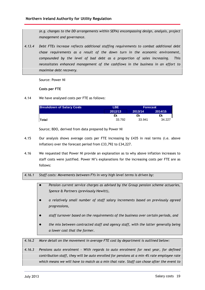*(e.g. changes to the DD arrangements within SEPA) encompassing design, analysis, project management and governance.*

*4.13.4 Debt FTEs increase reflects additional staffing requirements to combat additional debt chase requirements as a result of the down turn in the economic environment, compounded by the level of bad debt as a proportion of sales increasing. This necessitates enhanced management of the cashflows in the business in an effort to maximise debt recovery.*

Source: Power NI

#### **Costs per FTE**

4.14 We have analysed costs per FTE as follows:

| <b>Breakdown of Salary Costs</b> | LBE.    | <b>Forecast</b> |         |  |
|----------------------------------|---------|-----------------|---------|--|
|                                  | 2012/13 | 2013/14         | 2014/15 |  |
|                                  | £k      | £k              | £k      |  |
| Total                            | 33.792  | 33.941          | 34.227  |  |

Source; BDO, derived from data prepared by Power NI

- 4.15 Our analysis shows average costs per FTE increasing by £435 in real terms (i.e. above inflation) over the forecast period from £33,792 to £34,227.
- 4.16 We requested that Power NI provide an explanation as to why above inflation increases to staff costs were justified. Power NI's explanations for the increasing costs per FTE are as follows:

#### *4.16.1 Staff costs: Movements between FYs in very high level terms is driven by:*

- *Pension current service charges as advised by the Group pension scheme actuaries, Spence & Partners (previously Hewitt),*
- *a relatively small number of staff salary increments based on previously agreed progressions,*
- *staff turnover based on the requirements of the business over certain periods, and*
- *the mix between contracted staff and agency staff, with the latter generally being a lower cost that the former.*

*4.16.2 More detail on the movement in average FTE cost by department is outlined below:*

*4.16.3 Pensions auto enrolment - With regards to auto enrolment for next year, for defined contribution staff, they will be auto enrolled for pensions at a min 4% rate employee rate which means we will have to match as a min that rate. Staff can chose after the event to*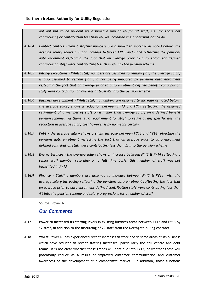*opt out but to be prudent we assumed a min of 4% for all staff, i.e. for those not contributing or contribution less than 4%, we increased their contributions to 4%*

- *4.16.4 Contact centres - Whilst staffing numbers are assumed to increase as noted below, the average salary shows a slight increase between FY13 and FY14 reflecting the pensions auto enrolment reflecting the fact that on average prior to auto enrolment defined contribution staff were contributing less than 4% into the pension scheme*
- *4.16.5 Billing/exceptions - Whilst staff numbers are assumed to remain flat, the average salary is also assumed to remain flat and not being impacted by pensions auto enrolment reflecting the fact that on average prior to auto enrolment defined benefit contribution staff were contribution on average at least 4% into the pension scheme*
- *4.16.6 Business development - Whilst staffing numbers are assumed to increase as noted below, the average salary shows a reduction between FY13 and FY14 reflecting the assumed retirement of a member of staff on a higher than average salary on a defined benefit pension scheme. As there is no requirement for staff to retire at any specific age, the reduction in average salary cost however is by no means certain.*
- *4.16.7 Debt - the average salary shows a slight increase between FY13 and FY14 reflecting the pensions auto enrolment reflecting the fact that on average prior to auto enrolment defined contribution staff were contributing less than 4% into the pension scheme*
- *4.16.8 Energy Services - the average salary shows an increase between FY13 & FY14 reflecting a senior staff member returning on a full time basis, this member of staff was not backfilled in FY13*
- 4.16.9 *Finance - Staffing numbers are assumed to increase between FY13 & FY14, with the average salary increasing reflecting the pensions auto enrolment reflecting the fact that on average prior to auto enrolment defined contribution staff were contributing less than 4% into the pension scheme and salary progressions for a number of staff*

Source: Power NI

### *Our Comments*

- 4.17 Power NI increased its staffing levels in existing business areas between FY12 and FY13 by 12 staff, in addition to the insourcing of 29 staff from the Northgate billing contract.
- 4.18 Whilst Power NI has experienced recent increases in workload in some areas of its business which have resulted in recent staffing increases, particularly the call centre and debt teams, it is not clear whether these trends will continue into FY15, or whether these will potentially reduce as a result of improved customer communication and customer awareness of the development of a competitive market. In addition, those functions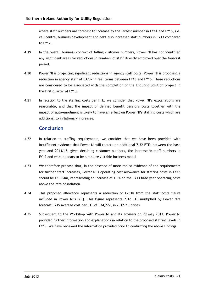where staff numbers are forecast to increase by the largest number in FY14 and FY15, i.e. call centre, business development and debt also increased staff numbers in FY13 compared to FY12.

- 4.19 In the overall business context of falling customer numbers, Power NI has not identified any significant areas for reductions in numbers of staff directly employed over the forecast period.
- 4.20 Power NI is projecting significant reductions in agency staff costs. Power NI is proposing a reduction in agency staff of £370k in real terms between FY13 and FY15. These reductions are considered to be associated with the completion of the Enduring Solution project in the first quarter of FY13.
- 4.21 In relation to the staffing costs per FTE, we consider that Power NI's explanations are reasonable, and that the impact of defined benefit pensions costs together with the impact of auto-enrolment is likely to have an effect on Power NI's staffing costs which are additional to inflationary increases.

# **Conclusion**

- 4.22 In relation to staffing requirements, we consider that we have been provided with insufficient evidence that Power NI will require an additional 7.32 FTEs between the base year and 2014/15, given declining customer numbers, the increase in staff numbers in FY12 and what appears to be a mature / stable business model.
- 4.23 We therefore propose that, in the absence of more robust evidence of the requirements for further staff increases, Power NI's operating cost allowance for staffing costs in FY15 should be £5.964m, representing an increase of 1.3% on the FY13 base year operating costs above the rate of inflation.
- 4.24 This proposed allowance represents a reduction of £251k from the staff costs figure included in Power NI's BEQ. This figure represents 7.32 FTE multiplied by Power NI's forecast FY15 average cost per FTE of £34,227, in 2012/13 prices.
- 4.25 Subsequent to the Workshop with Power NI and its advisers on 29 May 2013, Power NI provided further information and explanations in relation to the proposed staffing levels in FY15. We have reviewed the information provided prior to confirming the above findings.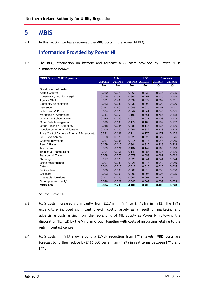# **5 MBIS**

5.1 In this section we have reviewed the MBIS costs in the Power NI BEQ.

# **Information Provided by Power NI**

5.2 The BEQ information on historic and forecast MBIS costs provided by Power NI is summarised below:

| MBIS Costs - 2012/13 prices                   | <b>Actual</b> |          |         | <b>LBE</b> |         | <b>Forecast</b> |
|-----------------------------------------------|---------------|----------|---------|------------|---------|-----------------|
|                                               | 2009/10       | 2010/11  | 2011/12 | 2012/13    | 2013/14 | 2014/15         |
|                                               | £m            | £m       | £m      | £m         | £m      | £m              |
| <b>Breakdown of costs</b>                     |               |          |         |            |         |                 |
| <b>Advice Centres</b>                         | 0.080         | 0.070    | 0.068   | 0.030      | 0.015   | 0.015           |
| Consultancy, Audit & Legal                    | 0.566         | 0.634    | 0.800   | 0.462      | 0.535   | 0.535           |
| Agency Staff                                  | 0.331         | 0.493    | 0.534   | 0.572      | 0.262   | 0.201           |
| <b>Electricity Association</b>                | 0.033         | 0.030    | 0.030   | 0.000      | 0.000   | 0.000           |
| Insurance                                     | 0.041         | $-0.007$ | 0.049   | 0.025      | 0.051   | 0.051           |
| Light, Heat & Power                           | 0.024         | 0.028    | 0.042   | 0.041      | 0.045   | 0.045           |
| Marketing & Advertising                       | 0.241         | 0.353    | 1.193   | 0.561      | 0.757   | 0.658           |
| Journals & Subscriptions                      | 0.050         | 0.080    | 0.070   | 0.071      | 0.108   | 0.108           |
| Other Debt Management                         | 0.099         | 0.133    | 0.174   | 0.180      | 0.182   | 0.182           |
| Other Printing & Stationery                   | 0.048         | 0.044    | 0.088   | 0.115      | 0.136   | 0.136           |
| Pension scheme administration                 | 0.000         | 0.000    | 0.204   | 0.382      | 0.228   | 0.228           |
| Price Control Targets - Energy Efficiency etc | 0.341         | 0.161    | 0.114   | 0.170      | 0.172   | 0.172           |
| <b>SAP Development</b>                        | 0.028         | 0.020    | 0.020   | 0.026      | 0.027   | 0.026           |
| Goodwill payments                             | 0.017         | 0.096    | 0.014   | 0.045      | 0.045   | 0.045           |
| Rent & Rates                                  | 0.179         | 0.116    | 0.304   | 0.315      | 0.318   | 0.318           |
| Telecomms                                     | 0.589         | 0.121    | 0.137   | 0.147      | 0.160   | 0.160           |
| Training & Teambuilding                       | 0.104         | 0.151    | 0.149   | 0.086      | 0.126   | 0.126           |
| Transport & Travel                            | 0.078         | 0.075    | 0.079   | 0.053      | 0.062   | 0.062           |
| Cleaning                                      | 0.017         | 0.023    | 0.029   | 0.044      | 0.044   | 0.044           |
| Office maintenance                            | 0.007         | 0.033    | 0.026   | 0.045      | 0.049   | 0.049           |
| Catering                                      | 0.013         | 0.010    | 0.012   | 0.015      | 0.015   | 0.015           |
| <b>Brokers</b> fees                           | 0.000         | 0.000    | 0.000   | 0.010      | 0.050   | 0.050           |
| Childcare                                     | 0.003         | 0.003    | 0.002   | 0.006      | 0.005   | 0.005           |
| Charitable donations                          | 0.001         | 0.005    | 0.002   | 0.007      | 0.011   | 0.011           |
| Other (please specify)                        | 0.046         | 0.027    | 0.040   | 0.003      | 0.003   | 0.003           |
| <b>MBIS Total</b>                             | 2.934         | 2.700    | 4.181   | 3.409      | 3.403   | 3.243           |

Source: Power NI

- 5.3 MBIS costs increased significantly from £2.7m in FY11 to £4.181m in FY12. The FY12 expenditure included significant one-off costs, largely as a result of marketing and advertising costs arising from the rebranding of NIE Supply as Power NI following the disposal of NIE T&D by the Viridian Group, together with costs of insourcing relating to the Antrim contact centre.
- 5.4 MBIS costs in FY13 show around a £770k reduction from FY12 levels. MBIS costs are forecast to further reduce by £166,000 per annum (4.9%) in real terms between FY13 and FY15.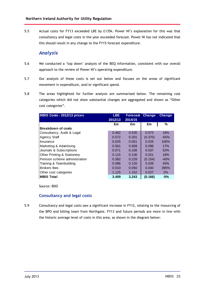5.5 Actual costs for FY13 exceeded LBE by £135k. Power NI's explanation for this was that consultancy and legal costs in the year exceeded forecast. Power NI has not indicated that this should result in any change to the FY15 forecast expenditure.

### *Analysis*

- 5.6 We conducted a 'top down' analysis of the BEQ information, consistent with our overall approach to the review of Power NI's operating expenditure.
- 5.7 Our analysis of these costs is set out below and focuses on the areas of significant movement in expenditure, and/or significant spend.
- 5.8 The areas highlighted for further analysis are summarised below. The remaining cost categories which did not show substantial changes are aggregated and shown as "Other cost categories".

| MBIS Costs - 2012/13 prices            | LBE.    | <b>Forecast</b> | Change  | <b>Change</b> |
|----------------------------------------|---------|-----------------|---------|---------------|
|                                        | 2012/13 | 2014/15         |         |               |
|                                        | £m      | £m              | £m      | %             |
| Breakdown of costs                     |         |                 |         |               |
| Consultancy, Audit & Legal             | 0.462   | 0.535           | 0.073   | 16%           |
| Agency Staff                           | 0.572   | 0.201           | (0.370) | $-65%$        |
| Insurance                              | 0.025   | 0.051           | 0.025   | 100%          |
| Marketing & Advertising                | 0.561   | 0.658           | 0.096   | 17%           |
| Journals & Subscriptions               | 0.071   | 0.108           | 0.037   | 52%           |
| <b>Other Printing &amp; Stationery</b> | 0.115   | 0.136           | 0.021   | 18%           |
| Pension scheme administration          | 0.382   | 0.228           | (0.154) | $-40%$        |
| Training & Teambuilding                | 0.086   | 0.126           | 0.039   | 45%           |
| Brokers fees                           | 0.010   | 0.050           | 0.040   | 395%          |
| Other cost categories                  | 1.125   | 1.152           | 0.027   | $2\%$         |
| <b>MBIS Total</b>                      | 3.409   | 3.243           | (0.166) | $-5%$         |

Source: BDO

#### **Consultancy and legal costs**

5.9 Consultancy and legal costs saw a significant increase in FY12, relating to the insourcing of the BPO and billing team from Northgate. FY13 and future periods are more in line with the historic average level of costs in this area, as shown in the diagram below: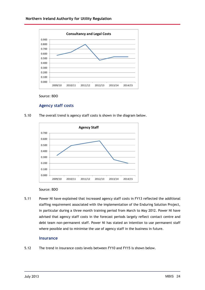#### **Northern Ireland Authority for Utility Regulation** 0.900



#### Source: BDO

0.800

#### **Agency staff costs**

5.10 The overall trend is agency staff costs is shown in the diagram below.



#### Source: BDO

5.11 Power NI have explained that increased agency staff costs in FY13 reflected the additional staffing requirement associated with the implementation of the Enduring Solution Project, in particular during a three month training period from March to May 2012. Power NI have advised that agency staff costs in the forecast periods largely reflect contact centre and debt team non-permanent staff. Power NI has stated an intention to use permanent staff where possible and to minimise the use of agency staff in the business in future.

#### **Insurance**

5.12 The trend in insurance costs levels between FY10 and FY15 is shown below.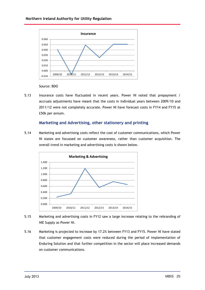#### **Northern Ireland Authority for Utility Regulation** 0.060



Source: BDO

0.050

5.13 Insurance costs have fluctuated in recent years. Power NI noted that prepayment / accruals adjustments have meant that the costs in individual years between 2009/10 and 2011/12 were not completely accurate. Power NI have forecast costs in FY14 and FY15 at £50k per annum.

#### **Marketing and Advertising, other stationery and printing**

5.14 Marketing and advertising costs reflect the cost of customer communications, which Power NI states are focussed on customer awareness, rather than customer acquisition. The overall trend in marketing and advertising costs is shown below. 1.400**Example Set Set Concerned Set Advertising Concerned Set Advertising**<br> **&**<br> **&** Advertising



- 5.15 Marketing and advertising costs in FY12 saw a large increase relating to the rebranding of NIE Supply as Power NI.
- 5.16 Marketing is projected to increase by 17.2% between FY13 and FY15. Power NI have stated that customer engagement costs were reduced during the period of implementation of Enduring Solution and that further competition in the sector will place increased demands on customer communications.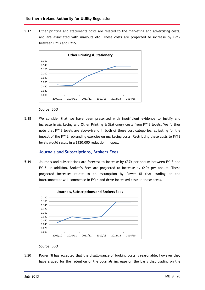**Other**

5.17 Other printing and statements costs are related to the marketing and advertising costs, and are associated with mailouts etc. These costs are projected to increase by £21k between FY13 and FY15. **Printing & Stationery**<br>**Printing & Stationery** 



Source: BDO

5.18 We consider that we have been presented with insufficient evidence to justify and increase in Marketing and Other Printing & Stationery costs from FY13 levels. We further note that FY13 levels are above-trend in both of these cost categories, adjusting for the impact of the FY12 rebranding exercise on marketing costs. Restricting these costs to FY13 levels would result in a £120,000 reduction in opex.

#### **Journals and Subscriptions, Brokers Fees**

5.19 Journals and subscriptions are forecast to increase by £37k per annum between FY13 and<br>
FY15. In addition, Broker's Fees are projected to increase by £40k per annum. These<br>
projected increases relate to an assumption FY15. In addition, Broker's Fees are projected to increase by £40k per annum. These projected increases relate to an assumption by Power NI that trading on the interconnector will commence in FY14 and drive increased costs in these areas.



#### Source: BDO

5.20 Power NI has accepted that the disallowance of broking costs is reasonable, however they have argued for the retention of the Journals increase on the basis that trading on the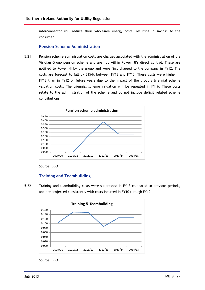interconnector will reduce their wholesale energy costs, resulting in savings to the consumer.

#### **Pension Scheme Administration**

5.21 Pension scheme administration costs are charges associated with the administration of the Viridian Group pension scheme and are not within Power NI's direct control. These are notified to Power NI by the group and were first charged to the company in FY12. The costs are forecast to fall by £154k between FY13 and FY15. These costs were higher in FY13 than in FY12 or future years due to the impact of the group's triennial scheme<br>
valuation costs. The triennial scheme valuation will be repeated in FY16. These costs<br>
relate to the administration of the scheme and do valuation costs. The triennial scheme valuation will be repeated in FY16. These costs relate to the administration of the scheme and do not include deficit related scheme contributions.



Source: BDO

#### **Training and Teambuilding Training**

5.22 Training and teambuilding costs were suppressed in FY13 compared to previous periods, and are projected consistently with costs incurred in FY10 through FY12. **ng**<br>sts were suppress<br>with costs incurr<br>**& Teambuilding** 



Source: BDO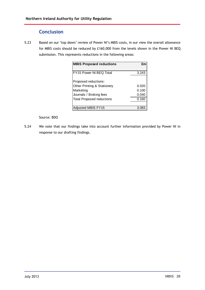# **Conclusion**

5.23 Based on our 'top down' review of Power NI's MBIS costs, in our view the overall allowance for MBIS costs should be reduced by £160,000 from the levels shown in the Power NI BEQ submission. This represents reductions in the following areas: **MBIS Proposed reductions £m**

| <b>MBIS Proposed reductions</b>        | £m    |
|----------------------------------------|-------|
| FY15 Power NI BEQ Total                | 3.243 |
| Proposed reductions:                   |       |
| <b>Other Printing &amp; Stationery</b> | 0.020 |
| Marketing                              | 0.100 |
| Journals / Broking fees                | 0.040 |
| <b>Total Proposed reductions</b>       | 0.160 |
|                                        |       |
| Adjusted MBIS FY15                     | 3.083 |

#### Source: BDO

5.24 We note that our findings take into account further information provided by Power NI in response to our drafting findings.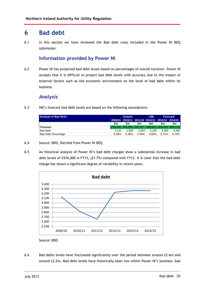# **6 Bad debt**

6.1 In this section we have reviewed the Bad debt costs included in the Power NI BEQ submission.

# **Information provided by Power NI**

6.2 Power NI has projected bad debt levels based on percentages of overall turnover. Power NI accepts that it is difficult to project bad debt levels with accuracy due to the impact of external factors such as the economic environment on the level of bad debt within its business.

### *Analysis*

6.3 NIE's forecast bad debt levels are based on the following assumptions:

| <b>Analysis of Bad Debt</b> |       | <b>Actuals</b>                                  |       |          |          | Forecast |  |
|-----------------------------|-------|-------------------------------------------------|-------|----------|----------|----------|--|
|                             |       | 2009/10 2010/11 2011/12 2012/13 2013/14 2014/15 |       |          |          |          |  |
|                             | £m    | £m                                              | £m    | £m       | £m       | £m       |  |
| <b>Turnover</b>             |       | 678.548 586.684 537.477 488.913 459.113 440.712 |       |          |          |          |  |
| <b>Bad Debt</b>             | 3.131 | 2.828                                           | 2.653 | 3.228    | 3.265    | 3.263    |  |
| <b>Bad Debt Percentage</b>  | 0.46% | 0.48%                                           | 0.49% | $0.66\%$ | $0.71\%$ | 0.74%    |  |

- 6.4 Source: BDO, Derived from Power NI BEQ **Bad**
- 6.5 An historical analysis of Power NI's bad debt charges show a substantial increase in bad debt levels of £576,000 in FY13, (21.7%) compared with FY12. It is clear that the bad debt charge has shown a significant degree of variability in recent vears. **d**<br>**d** debt char<br>**f** variability<br>**debt**



Source: BDO

6.6 Bad debts levels have fluctuated significantly over the period between around £2.6m and around £3.2m. Bad debt levels have historically been low within Power NI's business: bad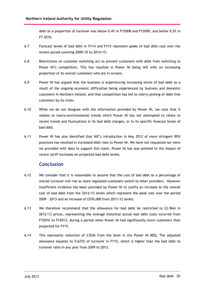debt as a proportion of turnover was below 0.4% in FY2008 and FY2009, and below 0.5% in FY 2010.

- 6.7 Forecast levels of bad debt in FY14 and FY15 represent peaks of bad debt cost over the review period covering 2009/10 to 2014/15.
- 6.8 Restrictions on customer switching act to prevent customers with debt from switching to Power NI's competitors. This has resulted in Power NI being left with an increasing proportion of its overall customers who are in arrears.
- 6.9 Power NI has argued that the business is experiencing increasing levels of bad debt as a result of the ongoing economic difficulties being experienced by business and domestic customers in Northern Ireland, and that competition has led to cherry-picking of debt free customers by its rivals.
- 6.10 While we do not disagree with the information provided by Power NI, we note that it relates to macro-environmental trends which Power NI has not attempted to relate to recent trends and fluctuations in its bad debt charges, or to its specific forecast levels of bad debt.
- 6.11 Power NI has also identified that NIEís introduction in May 2012 of more stringent RPU practices has resulted in increased debt risks to Power NI. We have not requested nor were we provided with data to support this claim. Power NI has also pointed to the impact of recent tariff increases on projected bad debt levels.

### *Conclusion*

- 6.12 We consider that it is reasonable to assume that the cost of bad debt as a percentage of overall turnover will rise as more regulated customers switch to other providers. However insufficient evidence has been provided by Power NI to justify an increase to the overall cost of bad debt from the 2012/13 levels which represent the peak cost over the period 2009 - 2013 and an increase of £576,000 from 2011/12 levels.
- 6.13 We therefore recommend that the allowance for bad debt be restricted to £2.96m in 2012/13 prices, representing the average historical actual bad debt costs incurred from FY2010 to FY2013, during a period when Power NI had significantly more customers than projected for FY15.
- 6.14 This represents reduction of £303k from thelevel in the Power NI BEQ. The adjusted allowance equates to 0.672% of turnover in FY15, which is higher than the bad debt to turnover ratio in any year from 2009 to 2013.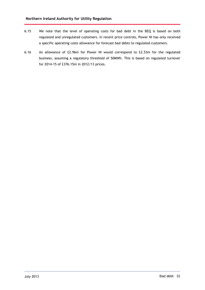- 6.15 We note that the level of operating costs for bad debt in the BEQ is based on both regulated and unregulated customers. In recent price controls, Power NI has only received a specific operating costs allowance for forecast bad debts to regulated customers.
- 6.16 An allowance of £2.96m for Power NI would correspond to £2.53m for the regulated business, assuming a regulatory threshold of 50MWh. This is based on regulated turnover for 2014-15 of £376.15m in 2012/13 prices.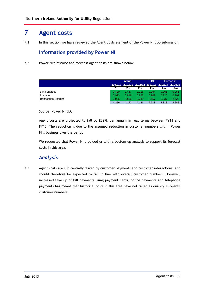# **7 Agent costs**

7.1 In this section we have reviewed the Agent Costs element of the Power NI BEQ submission.

# **Information provided by Power NI**

7.2 Power NI's historic and forecast agent costs are shown below.

|                            |       | Actual |       |       |       | <b>LBE</b>                                      | <b>Forecast</b> |  |
|----------------------------|-------|--------|-------|-------|-------|-------------------------------------------------|-----------------|--|
|                            |       |        |       |       |       | 2009/10 2010/11 2011/12 2012/13 2013/14 2014/15 |                 |  |
|                            | £m    | £m     | £m    | £m    | £m    | £m                                              |                 |  |
| <b>Bank charges</b>        | 0.409 | 0.457  | 0.118 | 0.254 | 0.261 | 0.261                                           |                 |  |
| Postage                    | 0.923 | 0.818  | 0.823 | 0.902 | 0.720 | 0.701                                           |                 |  |
| <b>Transaction Charges</b> | 2.925 | 2.866  | 3.240 | 2.857 | 2.837 | 2.723                                           |                 |  |
|                            | 4.256 | 4.142  | 4.181 | 4.013 | 3.818 | 3.686                                           |                 |  |

#### Source: Power NI BEQ

Agent costs are projected to fall by £327k per annum in real terms between FY13 and FY15. The reduction is due to the assumed reduction in customer numbers within Power NI's business over the period.

We requested that Power NI provided us with a bottom up analysis to support its forecast costs in this area.

### *Analysis*

7.3 Agent costs are substantially driven by customer payments and customer interactions, and should therefore be expected to fall in line with overall customer numbers. However, increased take up of bill payments using payment cards, online payments and telephone payments has meant that historical costs in this area have not fallen as quickly as overall customer numbers.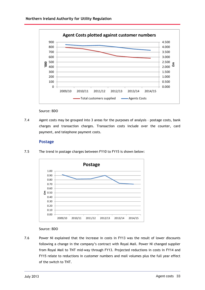

Source: BDO

7.4 Agent costs may be grouped into 3 areas for the purposes of analysis - postage costs, bank charges and transaction charges. Transaction costs include over the counter, card **Postage**payment, and telephone payment costs.

#### **Postage**

7.5 The trend in postage charges between FY10 to FY15 is shown below:



#### Source: BDO

7.6 Power NI explained that the increase in costs in FY13 was the result of lower discounts following a change in the company's contract with Royal Mail. Power NI changed supplier from Royal Mail to TNT mid-way through FY13. Projected reductions in costs in FY14 and FY15 relate to reductions in customer numbers and mail volumes plus the full year effect of the switch to TNT.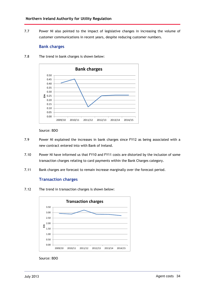7.7 Power NI also pointed to the impact of legislative changes in increasing the volume of customer communications in recent years, despite reducing customer numbers. impact of legislati<br>
ecent years, despite<br>
own below:<br> **charges** 

#### **Bank charges**

7.8 The trend in bank charges is shown below:



Source: BDO

- 7.9 Power NI explained the increases in bank charges since FY12 as being associated with a new contract entered into with Bank of Ireland.
- 7.10 Power NI have informed us that FY10 and FY11 costs are distorted by the inclusion of some transaction charges relating to card payments within the Bank Charges category.
- 7.11 Bank charges are forecast to remain increase marginally over the forecast period. **Transaction**

#### **Transaction charges**

7.12 The trend in transaction charges is shown below:



Source: BDO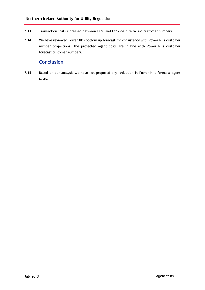- 7.13 Transaction costs increased between FY10 and FY12 despite falling customer numbers.
- 7.14 We have reviewed Power NI's bottom up forecast for consistency with Power NI's customer number projections. The projected agent costs are in line with Power NI's customer forecast customer numbers.

# **Conclusion**

7.15 Based on our analysis we have not proposed any reduction in Power NI's forecast agent costs.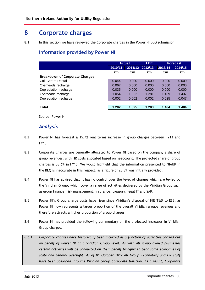# **8 Corporate charges**

8.1 In this section we have reviewed the Corporate charges in the Power NI BEQ submission.

# **Information provided by Power NI**

|                                       |         | <b>Actual</b> |                 | <b>Forecast</b> |         |  |
|---------------------------------------|---------|---------------|-----------------|-----------------|---------|--|
|                                       | 2010/11 |               | 2011/12 2012/13 | 2013/14         | 2014/15 |  |
|                                       | £m      | £m            | £m              | £m              | £m      |  |
| <b>Breakdown of Corporate Charges</b> |         |               |                 |                 |         |  |
| Call Centre Rental                    | 0.044   | 0.000         | 0.000           | 0.000           | 0.000   |  |
| Overheads recharge                    | 0.067   | 0.000         | 0.000           | 0.000           | 0.000   |  |
| Depreciation recharge                 | 0.035   | 0.000         | 0.000           | 0.000           | 0.000   |  |
| Overheads recharge                    | 1.054   | 1.322         | 1.281           | 1.409           | 1.437   |  |
| Depreciation recharge                 | 0.002   | 0.002         | 0.002           | 0.025           | 0.047   |  |
|                                       |         |               |                 |                 |         |  |
| Total                                 | 1.202   | 1.325         | 1.283           | 1.434           | 1.484   |  |

Source: Power NI

# *Analysis*

- 8.2 Power NI has forecast a 15.7% real terms increase in group charges between FY13 and FY15.
- 8.3 Corporate charges are generally allocated to Power NI based on the company's share of group revenues, with HR costs allocated based on headcount. The projected share of group charges is 33.6% in FY15. We would highlight that the information presented to NIAUR in the BEQ is inaccurate in this respect, as a figure of 28.3% was initially provided.
- 8.4 Power NI has advised that it has no control over the level of charges which are levied by the Viridian Group, which cover a range of activities delivered by the Viridian Group such as group finance, risk management, insurance, treasury, legal IT and SAP.
- 8.5 Power NI's Group charge costs have risen since Viridian's disposal of NIE T&D to ESB, as Power NI now represents a larger proportion of the overall Viridian groups revenues and therefore attracts a higher proportion of group charges.
- 8.6 Power NI has provided the following commentary on the projected increases in Viridian Group charges:
- *8.6.1 Corporate charges have historically been incurred as a function of activities carried out on behalf of Power NI at a Viridian Group level. As with all group owned businesses certain activities will be conducted on their behalf bringing to bear some economies of scale and general oversight. As of 01 October 2012 all Group Technology and HR staff have been absorbed into the Viridian Group Corporate function. As a result, Corporate*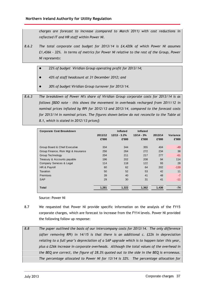*charges are forecast to increase (compared to March 2011) with cost reductions in reflected IT and HR staff within Power NI.*

- *8.6.2 The total corporate cost budget for 2013/14 is £4,420k of which Power NI assumes £1,436k - 32%. In terms of metrics for Power NI relative to the rest of the Group, Power NI represents:*
	- *22% of budget Viridian Group operating profit for 2013/14;*
	- *43% of staff headcount at 31 December 2012; and*
	- *30% of budget Viridian Group turnover for 2013/14.*

*8.6.3 The breakdown of Power NI's share of Viridian Group corporate costs for 2013/14 is as follows [BDO note - this shows the movement in overheads recharged from 2011/12 in nominal prices inflated by RPI for 2012/13 and 2013/14, compared to the forecast costs for 2013/14 in nominal prices. The figures shown below do not reconcile to the Table at 8.1, which is stated in 2012/13 prices]:*

| <b>Corporate Cost Breakdown</b>     | 2011/12<br>£'000 | <b>Inflated</b><br>$12/13 - 3.2%$<br>£'000 | Inflated<br>$13/14 - 3%$<br>£'000 | 2013/14<br>£'000 | Variance<br>£'000 |
|-------------------------------------|------------------|--------------------------------------------|-----------------------------------|------------------|-------------------|
| Group Board & Chief Executive       | 334              | 344                                        | 355                               | 404              | $-49$             |
| Group Finance, Risk Mgt & Insurance | 256              | 264                                        | 272                               | 234              | 38                |
| <b>Group Technology</b>             | 204              | 211                                        | 217                               | 277              | $-61$             |
| Treasury & Accounts payable         | 196              | 202                                        | 208                               | 94               | 114               |
| Company Services & Legal            | 114              | 118                                        | 122                               | 93               | 28                |
| HR & Payroll                        | 60               | 62                                         | 64                                | 202              | $-139$            |
| <b>Taxation</b>                     | 50               | 52                                         | 53                                | 42               | 11                |
| <b>Premises</b>                     | 39               | 40                                         | 41                                | 48               | $-7$              |
| <b>SAP</b>                          | 29               | 30                                         | 31                                | 41               | $-11$             |
| Total                               | 1,281            | 1,322                                      | 1,362                             | 1,436            | $-74$             |

Source: Power NI

- 8.7 We requested that Power NI provide specific information on the analysis of the FY15 corporate charges, which are forecast to increase from the FY14 levels. Power NI provided the following follow up response:
- *8.8 The paper outlined the basis of our intercompany costs for 2013/14. The only difference (after removing RPI) in 14/15 is that there is an additional c. £22k in depreciation relating to a full yearís depreciation of a SAP upgrade which is to happen later this year, plus a £26k increase in corporate overheads. Although the total values of the overhead in the BEQ are correct, the figure of 28.3% quoted out to the side in the BEQ is erroneous. The percentage allocated to Power NI for 13/14 is 32%. The percentage allocation for*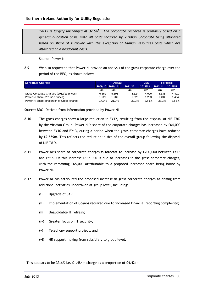*14/15 is largely unchanged at 32.5% <sup>1</sup>. The corporate recharge is primarily based on a general allocation basis, with allcosts incurred by Viridian Corporate being allocated based on share of turnover with the exception of Human Resources costs which are allocated on a headcount basis.*

Source: Power NI

8.9 We also requested that Power NI provide an analysis of the gross corporate charge over the period of the BEQ, as shown below:

| <b>Corporate Charges</b>                    |       | <b>Actual</b>   |         |          | <b>LBE</b><br>Forecast |         |
|---------------------------------------------|-------|-----------------|---------|----------|------------------------|---------|
|                                             |       | 2009/10 2010/11 | 2011/12 | 2012/13  | 2013/14                | 2014/15 |
|                                             | £m    | £m              | £m      | £m       | £m                     | £m      |
| Gross Corporate Charges (2012/13 prices)    | 6.859 | 5.695           | 4.124   | 4.000    | 4.335                  | 4.421   |
| Power NI share (2012/13 prices)             | 1.229 | 1.202           | 1.325   | 1.283    | 1.434                  | 484. ا  |
| Power NI share (proportion of Gross charge) | 17.9% | 21.1%           | 32.1%   | $32.1\%$ | 33.1%                  | 33.6%   |

Source: BDO, Derived from information provided by Power NI

- 8.10 The gross charges show a large reduction in FY12, resulting from the disposal of NIE T&D by the Viridian Group. Power NI's share of the corporate charges has increased by £64,000 between FY10 and FY13, during a period when the gross corporate charges have reduced by £2.859m. This reflects the reduction in size of the overall group following the disposal of NIE T&D.
- 8.11 Power NI's share of corporate charges is forecast to increase by £200,000 between FY13 and FY15. Of this increase £135,000 is due to increases in the gross corporate charges, with the remaining £65,000 attributable to a proposed increased share being borne by Power NI.
- 8.12 Power NI has attributed the proposed increase in gross corporate charges as arising from additional activities undertaken at group level, including:
	- (i) Upgrade of SAP;
	- (ii) Implementation of Cognos required due to increased financial reporting complexity;
	- (iii) Unavoidable IT refresh;
	- (iv) Greater focus on IT security;
	- (v) Telephony support project; and
	- (vi) HR support moving from subsidiary to group level.

<sup>&</sup>lt;sup>1</sup> This appears to be 33.6% i.e. £1.484m charge as a proportion of £4.421m